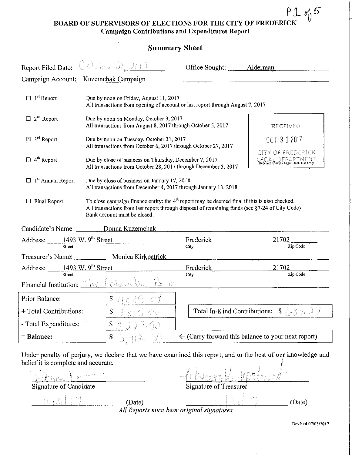## **BOARD OF SUPERVISORS OF ELECTIONS FOR THE CITY OF FREDERICK Campaign Contributions and Expenditures Report**

| <b>Summary Sheet</b>                                                                                                                                                                                                                                                                       |                                                                                                                                                                                |                                                                                                                                                                                                                                                                                                                                                                       |  |  |
|--------------------------------------------------------------------------------------------------------------------------------------------------------------------------------------------------------------------------------------------------------------------------------------------|--------------------------------------------------------------------------------------------------------------------------------------------------------------------------------|-----------------------------------------------------------------------------------------------------------------------------------------------------------------------------------------------------------------------------------------------------------------------------------------------------------------------------------------------------------------------|--|--|
| Report Filed Date: $\left(\begin{array}{c c}\n\hline\n\hline\n\hline\n\hline\n\hline\n\end{array}\right)$ $\left(\begin{array}{c c}\n\hline\n\hline\n\hline\n\hline\n\end{array}\right)$                                                                                                   |                                                                                                                                                                                | Office Sought: _______ Alderman                                                                                                                                                                                                                                                                                                                                       |  |  |
| Campaign Account: Kuzemchak Campaign                                                                                                                                                                                                                                                       |                                                                                                                                                                                |                                                                                                                                                                                                                                                                                                                                                                       |  |  |
|                                                                                                                                                                                                                                                                                            |                                                                                                                                                                                |                                                                                                                                                                                                                                                                                                                                                                       |  |  |
|                                                                                                                                                                                                                                                                                            |                                                                                                                                                                                | RECEIVED                                                                                                                                                                                                                                                                                                                                                              |  |  |
| $[3]$ 3 <sup>rd</sup> Report                                                                                                                                                                                                                                                               |                                                                                                                                                                                | OCT 3 1 2017                                                                                                                                                                                                                                                                                                                                                          |  |  |
| Due by close of business on Thursday, December 7, 2017<br>All transactions from October 28, 2017 through December 3, 2017                                                                                                                                                                  |                                                                                                                                                                                | CITY OF FREDERICK<br>EGAL DEPARTMENT<br>Received Stamp - Legal Dept. Use Only                                                                                                                                                                                                                                                                                         |  |  |
| $\Box$ 1 <sup>st</sup> Annual Report<br>Due by close of business on January 17, 2018<br>All transactions from December 4, 2017 through January 13, 2018                                                                                                                                    |                                                                                                                                                                                |                                                                                                                                                                                                                                                                                                                                                                       |  |  |
| To close campaign finance entity: the $4th$ report may be deemed final if this is also checked.<br>$\Box$ Final Report<br>All transactions from last report through disposal of remaining funds (see §7-24 of City Code)<br>Bank account must be closed.                                   |                                                                                                                                                                                |                                                                                                                                                                                                                                                                                                                                                                       |  |  |
| Candidate's Name: Donna Kuzemchak                                                                                                                                                                                                                                                          |                                                                                                                                                                                |                                                                                                                                                                                                                                                                                                                                                                       |  |  |
|                                                                                                                                                                                                                                                                                            | Frederick                                                                                                                                                                      | 21702<br>Zip Code                                                                                                                                                                                                                                                                                                                                                     |  |  |
|                                                                                                                                                                                                                                                                                            |                                                                                                                                                                                |                                                                                                                                                                                                                                                                                                                                                                       |  |  |
|                                                                                                                                                                                                                                                                                            |                                                                                                                                                                                | 21702                                                                                                                                                                                                                                                                                                                                                                 |  |  |
| Zip Code<br>City<br>Financial Institution: The Columbia Bush                                                                                                                                                                                                                               |                                                                                                                                                                                |                                                                                                                                                                                                                                                                                                                                                                       |  |  |
| $\sim$ $s$ and $\sim$ 3 $\sim$ 3 $\sim$ 3 $\sim$ 3 $\sim$ 3 $\sim$ 3 $\sim$ 3 $\sim$ 3 $\sim$ 3 $\sim$ 3 $\sim$ 3 $\sim$ 3 $\sim$ 3 $\sim$ 3 $\sim$ 3 $\sim$ 3 $\sim$ 3 $\sim$ 3 $\sim$ 3 $\sim$ 3 $\sim$ 3 $\sim$ 3 $\sim$ 3 $\sim$ 3 $\sim$ 3 $\sim$ 3 $\sim$ 3 $\sim$ 3 $\sim$ 3 $\sim$ |                                                                                                                                                                                |                                                                                                                                                                                                                                                                                                                                                                       |  |  |
| + Total Contributions:                                                                                                                                                                                                                                                                     | Total In-Kind Contributions:                                                                                                                                                   | $\frac{1}{2}$ ( $\frac{1}{2}$ $\frac{1}{2}$ $\frac{1}{2}$ $\frac{1}{2}$ $\frac{1}{2}$ $\frac{1}{2}$                                                                                                                                                                                                                                                                   |  |  |
| \$                                                                                                                                                                                                                                                                                         |                                                                                                                                                                                |                                                                                                                                                                                                                                                                                                                                                                       |  |  |
| 산학<br>$\mathbf{s}$                                                                                                                                                                                                                                                                         |                                                                                                                                                                                | $\leftarrow$ (Carry forward this balance to your next report)                                                                                                                                                                                                                                                                                                         |  |  |
|                                                                                                                                                                                                                                                                                            | Address: 1493 W. 9 <sup>th</sup> Street<br>Treasurer's Name: ____________ Monica Kirkpatrick<br>Address: $\frac{1493 \text{ W. } 9^{\text{th}} \text{ Street}}{\text{Street}}$ | Due by noon on Friday, August 11, 2017<br>All transactions from opening of account or last report through August 7, 2017<br>Due by noon on Monday, October 9, 2017<br>All transactions from August 8, 2017 through October 5, 2017<br>Due by noon on Tuesday, October 31, 2017<br>All transactions from October 6, 2017 through October 27, 2017<br>City<br>Frederick |  |  |

Under penalty of perjury, we declare that we have examined this report, and to the best of our knowledge and belief it is complete and accurate.

~---'---'-'--'-'-~~ \_\_\_\_ (Date) \_\_\_ ~ \_\_\_\_\_\_\_ (Date) *All Reports must bear original signatures* 

 $\gamma$  . :

Signature of Candidate Signature of Treasurer

**Revised 07/0312017** 

 $h5$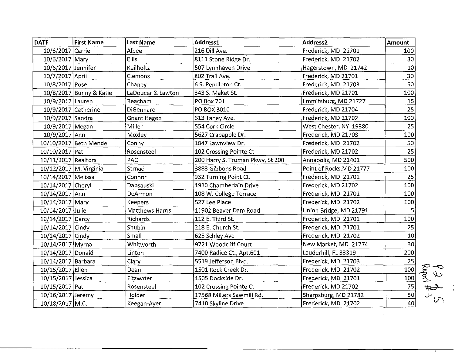| <b>DATE</b>            | <b>First Name</b>       | <b>Last Name</b>       | Address1                         | Address <sub>2</sub>     | Amount          |
|------------------------|-------------------------|------------------------|----------------------------------|--------------------------|-----------------|
| 10/6/2017 Carrie       |                         | Albee                  | 216 Dill Ave.                    | Frederick, MD 21701      | 100             |
| 10/6/2017 Mary         |                         | <b>Ellis</b>           | 8111 Stone Ridge Dr.             | Frederick, MD 21702      | 30              |
| 10/6/2017 Jennifer     |                         | Keilholtz              | 507 Lynnhaven Drive              | Hagerstown, MD 21742     | 10 <sup>1</sup> |
| 10/7/2017 April        |                         | Clemons                | 802 Trail Ave.                   | Frederick, MD 21701      | 30              |
| 10/8/2017 Rose         |                         | Chaney                 | 6 S. Pendleton Ct.               | Frederick, MD 21703      | 50              |
|                        | 10/8/2017 Bunny & Katie | LaDoucer & Lawton      | 343 S. Maket St.                 | Frederick, MD 21701      | 100             |
| 10/9/2017 Lauren       |                         | Beacham                | PO Box 701                       | Emmitsburg, MD 21727     | 15              |
| 10/9/2017 Catherine    |                         | DiGennaro              | PO BOX 3010                      | Frederick, MD 21704      | 25              |
| 10/9/2017 Sandra       |                         | <b>Gnant Hagen</b>     | 613 Taney Ave.                   | Frederick, MD 21702      | 100             |
| 10/9/2017 Megan        |                         | Miller                 | 554 Cork Circle                  | West Chester, NY 19380   | 25              |
| 10/9/2017 Ann          |                         | Moxley                 | 5627 Crabapple Dr.               | Frederick, MD 21703      | 100             |
|                        | 10/10/2017 Beth Mende   | Conny                  | 1847 Lawnview Dr.                | Frederick, MD 21702      | 50              |
| 10/10/2017 Pat         |                         | Rosensteel             | 102 Crossing Pointe Ct           | Frederick, MD 21702      | 25              |
| 10/11/2017 Realtors    |                         | <b>PAC</b>             | 200 Harry S. Truman Pkwy, St 200 | Annapolis, MD 21401      | 500             |
| 10/12/2017 M. Virginia |                         | Strnad                 | 3883 Gibbons Road                | Point of Rocks, MD 21777 | 100             |
| 10/14/2017 Melissa     |                         | Connor                 | 932 Turning Point Ct.            | Frederick, MD 21701      | 25              |
| 10/14/2017 Cheryl      |                         | Dapsauski              | 1910 Chamberlain Drive           | Frederick, MD 21702      | 100             |
| 10/14/2017 Ann         |                         | DeArmon                | 108 W. College Terrace           | Frederick, MD 21701      | 100             |
| 10/14/2017 Mary        |                         | Keepers                | 527 Lee Place                    | Frederick, MD 21702      | 100             |
| 10/14/2017 Julie       |                         | <b>Matthews Harris</b> | 11902 Beaver Dam Road            | Union Bridge, MD 21791   | 5 <sub>1</sub>  |
| 10/14/2017 Darcy       |                         | Richards               | 112 E. Third St.                 | Frederick, MD 21701      | 100             |
| 10/14/2017 Cindy       |                         | Shubin                 | 218 E. Church St.                | Frederick, MD 21701      | 25              |
| 10/14/2017 Cindy       |                         | Small                  | 625 Schley Ave                   | Frederick, MD 21702      | 10              |
| 10/14/2017 Myrna       |                         | Whitworth              | 9721 Woodcliff Court             | New Market, MD 21774     | 30              |
| 10/14/2017 Donald      |                         | Linton                 | 7400 Radice Ct., Apt.601         | Lauderhill, FL 33319     | 200             |
| 10/14/2017 Barbara     |                         | Clary                  | 5519 Jefferson Blvd.             | Frederick, MD 21703      | 25              |
| 10/15/2017 Eilen       |                         | Dean                   | 1501 Rock Creek Dr.              | Frederick, MD 21702      | 100             |
| 10/15/2017 Jessica     |                         | Fitzwater              | 1505 Dockside Dr.                | Frederick, MD 21701      | 100             |
| 10/15/2017 Pat         |                         | Rosensteel             | 102 Crossing Pointe Ct           | Frederick, MD 21702      | 75              |
| 10/16/2017 Jeremy      |                         | Holder                 | 17568 Millers Sawmill Rd.        | Sharpsburg, MD 21782     | 50              |
| 10/18/2017 M.C.        |                         | Keegan-Ayer            | 7410 Skyline Drive               | Frederick, MD 21702      | 40              |

P 2 p 5<br>Report # 3

 $\sim 10^{-10}$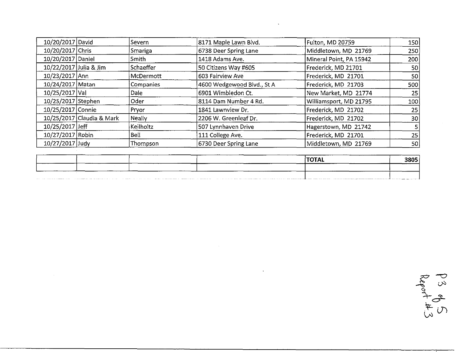| 10/20/2017 David       |                           | <b>iSevern</b> | 8171 Maple Lawn Blvd.      | Fulton, MD 20759        | 150 |
|------------------------|---------------------------|----------------|----------------------------|-------------------------|-----|
| 10/20/2017 Chris       |                           | Smariga        | 6738 Deer Spring Lane      | Middletown, MD 21769    | 250 |
| 10/20/2017 Daniel      |                           | Smith          | 1418 Adams Ave.            | Mineral Point, PA 15942 | 200 |
| 10/22/2017 Julia & Jim |                           | Schaeffer      | 50 Citizens Way #605       | Frederick, MD 21701     | 50  |
| 10/23/2017 Ann         |                           | McDermott      | 603 Fairview Ave           | Frederick, MD 21701     | 50  |
| 10/24/2017 Matan       |                           | Companies      | 4600 Wedgewood Blvd., St A | Frederick, MD 21703     | 500 |
| 10/25/2017 Val         |                           | <b>Dale</b>    | 6901 Wimbledon Ct.         | New Market, MD 21774    | 25  |
| 10/25/2017 Stephen     |                           | Oder           | 8114 Dam Number 4 Rd.      | Williamsport, MD 21795  | 100 |
| 10/25/2017 Connie      |                           | <b>Pryor</b>   | 1841 Lawnview Dr.          | Frederick, MD 21702     | 25  |
|                        | 10/25/2017 Claudia & Mark | Neally         | 2206 W. Greenleaf Dr.      | Frederick, MD 21702     | 30  |
| 10/25/2017 Jeff        |                           | Keilholtz      | 507 Lynnhaven Drive        | Hagerstown, MD 21742    | 51  |
| 10/27/2017 Robin       |                           | Bell           | 111 College Ave.           | Frederick, MD 21701     | 25  |
| 10/27/2017 Judy        |                           | Thompson       | 6730 Deer Spring Lane      | Middletown, MD 21769    | 50  |

 $\mathcal{L}(\mathcal{L}^{\mathcal{L}})$  and  $\mathcal{L}(\mathcal{L}^{\mathcal{L}})$  and  $\mathcal{L}(\mathcal{L}^{\mathcal{L}})$ 

| 10/27/2017 Judy | Thompson | 6730 Deer Spring Lane                                                        | Middletown, MD 21769                                                                                                                                                                                                           | 50   |
|-----------------|----------|------------------------------------------------------------------------------|--------------------------------------------------------------------------------------------------------------------------------------------------------------------------------------------------------------------------------|------|
|                 |          |                                                                              |                                                                                                                                                                                                                                |      |
|                 |          |                                                                              | <b>TOTAL</b>                                                                                                                                                                                                                   | 3805 |
|                 |          |                                                                              |                                                                                                                                                                                                                                |      |
|                 |          | The most continuous continuous commentary and applicate construction and the | The contract was the component of the contract was the component of the contract of the contract of the contract of the contract of the contract of the contract of the contract of the contract of the contract of the contra |      |

 $\label{eq:2.1} \frac{1}{2} \sum_{i=1}^n \frac{1}{2} \sum_{j=1}^n \frac{1}{2} \sum_{j=1}^n \frac{1}{2} \sum_{j=1}^n \frac{1}{2} \sum_{j=1}^n \frac{1}{2} \sum_{j=1}^n \frac{1}{2} \sum_{j=1}^n \frac{1}{2} \sum_{j=1}^n \frac{1}{2} \sum_{j=1}^n \frac{1}{2} \sum_{j=1}^n \frac{1}{2} \sum_{j=1}^n \frac{1}{2} \sum_{j=1}^n \frac{1}{2} \sum_{j=1}^n \frac{$ 

 $\label{eq:2.1} \frac{1}{\sqrt{2}}\int_{\mathbb{R}^3}\frac{1}{\sqrt{2}}\left(\frac{1}{\sqrt{2}}\right)^2\frac{1}{\sqrt{2}}\left(\frac{1}{\sqrt{2}}\right)^2\frac{1}{\sqrt{2}}\left(\frac{1}{\sqrt{2}}\right)^2\frac{1}{\sqrt{2}}\left(\frac{1}{\sqrt{2}}\right)^2.$ 

 $\frac{1}{2}$  $\frac{1}{\sqrt{2}}$   $\infty$ *\-d*t *Ul*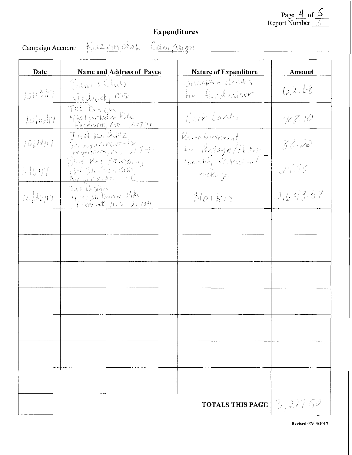Page  $\frac{l}{2}$  of  $\frac{5}{2}$ <br>Report Number

## Expenditures

| Date                         | Name and Address of Payee                                   | Nature of Expenditure             | Amount    |
|------------------------------|-------------------------------------------------------------|-----------------------------------|-----------|
| 101/210                      | Dam's Club<br>Frederick, MD                                 | Sneeks & denks<br>for fund raiser | 62.68     |
| 10 16 17                     | Txt Dezign<br>Processel, mo 2001                            | Rack Cards                        | 408. P    |
| 10 D H 17                    | JERKilloNz<br>Selbyphineson<br>Jeografian, mp 11742         | Rembronat<br>for Rostage/Aleiting | 78.20     |
| $\mathbb{Z}$ to $\mathbb{Z}$ | Blue Ry Procopy<br>151 Shamon Blue<br><u>Neperville, TC</u> | Marthly Photoshood<br>ralege      | 3455      |
| nD                           | INT DOWN<br>general Danie Pite<br>Frederick MB 21704        | Marters                           | 2, 43.57  |
|                              |                                                             |                                   |           |
|                              |                                                             |                                   |           |
|                              |                                                             |                                   |           |
|                              |                                                             |                                   |           |
|                              |                                                             |                                   |           |
|                              |                                                             |                                   |           |
|                              |                                                             |                                   |           |
|                              |                                                             | <b>TOTALS THIS PAGE</b>           | -3,997.62 |

Campaign Account: Kuzzin chak Canpaign

Revised 07/03/2017